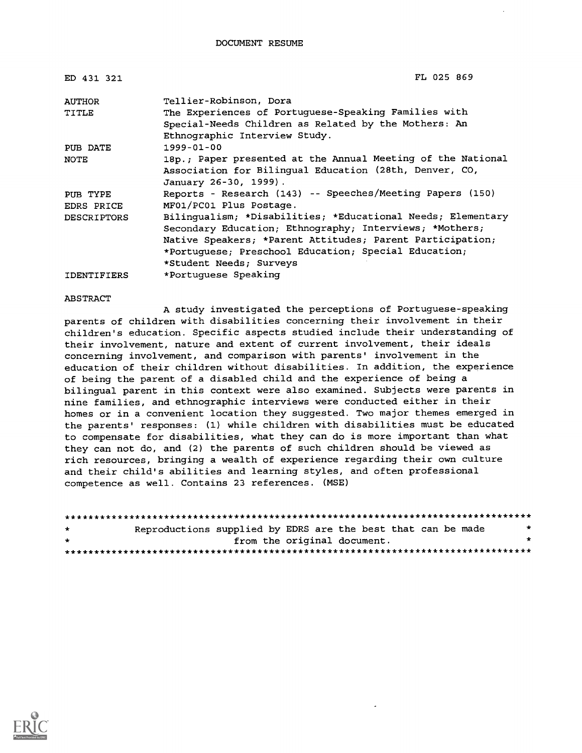| ED 431 321         | FL 025 869                                                  |
|--------------------|-------------------------------------------------------------|
| <b>AUTHOR</b>      | Tellier-Robinson, Dora                                      |
| TITLE              | The Experiences of Portuguese-Speaking Families with        |
|                    | Special-Needs Children as Related by the Mothers: An        |
|                    | Ethnographic Interview Study.                               |
| PUB DATE           | 1999-01-00                                                  |
| NOTE               | 18p.; Paper presented at the Annual Meeting of the National |
|                    | Association for Bilingual Education (28th, Denver, CO,      |
|                    | January 26-30, 1999).                                       |
| PUB TYPE           | Reports - Research (143) -- Speeches/Meeting Papers (150)   |
| EDRS PRICE         | MF01/PC01 Plus Postage.                                     |
| <b>DESCRIPTORS</b> | Bilingualism; *Disabilities; *Educational Needs; Elementary |
|                    | Secondary Education; Ethnography; Interviews; *Mothers;     |
|                    | Native Speakers; *Parent Attitudes; Parent Participation;   |
|                    | *Portuquese; Preschool Education; Special Education;        |
|                    | *Student Needs; Surveys                                     |
| <b>IDENTIFIERS</b> | *Portuquese Speaking                                        |

#### ABSTRACT

A study investigated the perceptions of Portuguese-speaking parents of children with disabilities concerning their involvement in their children's education. Specific aspects studied include their understanding of their involvement, nature and extent of current involvement, their ideals concerning involvement, and comparison with parents' involvement in the education of their children without disabilities. In addition, the experience of being the parent of a disabled child and the experience of being a bilingual parent in this context were also examined. Subjects were parents in nine families, and ethnographic interviews were conducted either in their homes or in a convenient location they suggested. Two major themes emerged in the parents' responses: (1) while children with disabilities must be educated to compensate for disabilities, what they can do is more important than what they can not do, and (2) the parents of such children should be viewed as rich resources, bringing a wealth of experience regarding their own culture and their child's abilities and learning styles, and often professional competence as well. Contains 23 references. (MSE)

| $\star$ | Reproductions supplied by EDRS are the best that can be made |  |                             | * |
|---------|--------------------------------------------------------------|--|-----------------------------|---|
| $\star$ |                                                              |  | from the original document. | * |
|         |                                                              |  |                             |   |

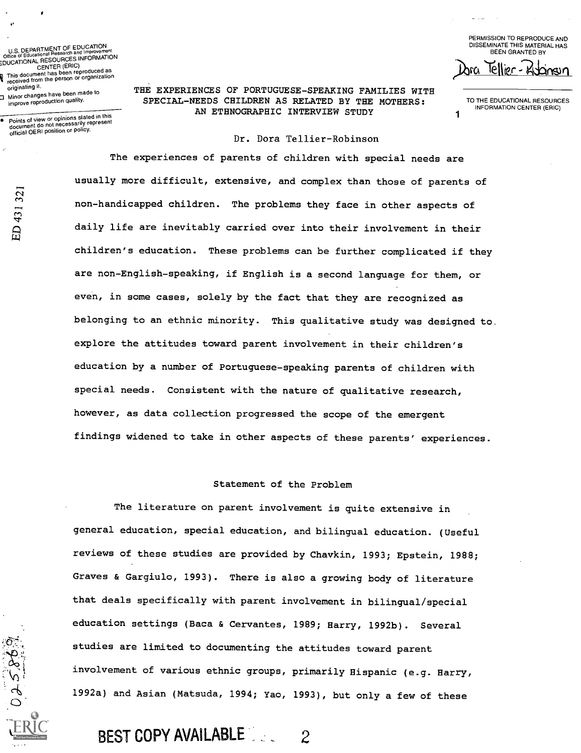U.S. DEPARTMENT OF EDUCATION<br>Office of Educational Research and Improveme Office of Educational Research and Improvement<br>CENTER (ERIC)<br>CENTER (ERIC)<br>CENTER (ERIC) p This document has been reproduced as<br>**V** received from the person or organization originating it. 3 Minor changes have been made to improve reproduction quality.

official OERI position or policy.

ED 431321

 $850$ 

Points of view or opinions stated in this document do not necessarily represent

PERMISSION TO REPRODUCE AND DISSEMINATE THIS MATERIAL HAS BEEN GRANTED BY  $cellpr - 4$ 

THE EXPERIENCES OF PORTUGUESE-SPEAKING FAMILIES WITH SPECIAL-NEEDS CHILDREN AS RELATED BY THE MOTHERS: AN ETHNOGRAPHIC INTERVIEW STUDY

TO THE EDUCATIONAL RESOURCES INFORMATION CENTER (ERIC)

1

### Dr. Dora Tellier-Robinson

The experiences of parents of children with special needs are usually more difficult, extensive, and complex than those of parents of non-handicapped children. The problems they face in other aspects of daily life are inevitably carried over into their involvement in their children's education. These problems can be further complicated if they are non-English-speaking, if English is a second language for them, or even, in some cases, solely by the fact that they are recognized as belonging to an ethnic minority. This qualitative study was designed to. explore the attitudes toward parent involvement in their children's education by a number of Portuguese-speaking parents of children with special needs. Consistent with the nature of qualitative research, however, as data collection progressed the scope of the emergent findings widened to take in other aspects of these parents' experiences.

#### Statement of the Problem

The literature on parent involvement is quite extensive in general education, special education, and bilingual education. (Useful reviews of these studies are provided by Chavkin, 1993; Epstein, 1988; Graves & Gargiulo, 1993). There is also a growing body of literature that deals specifically with parent involvement in bilingual/special education settings (Baca & Cervantes, 1989; Harry, 1992b). Several studies are limited to documenting the attitudes toward parent involvement of various ethnic groups, primarily Hispanic (e.g. Harry, 1992a) and Asian (Matsuda, 1994; Yao, 1993), but only a few of these

# BEST COPY AVAILABLE 2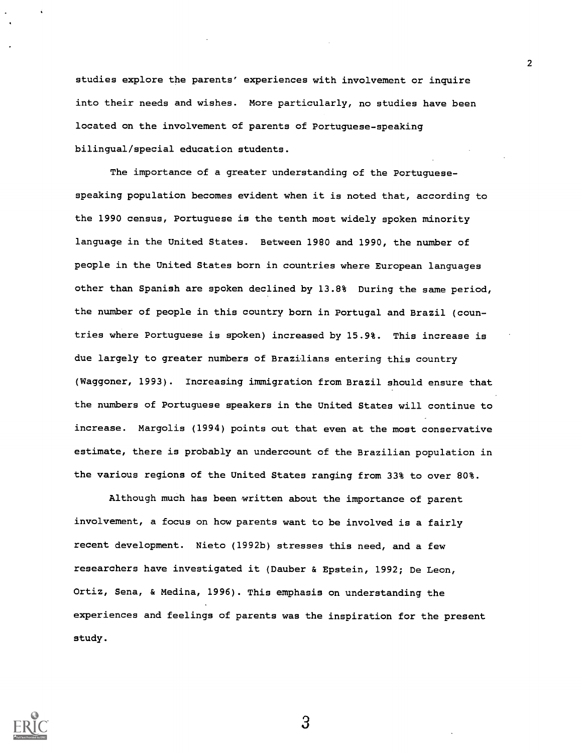studies explore the parents' experiences with involvement or inquire into their needs and wishes. More particularly, no studies have been located on the involvement of parents of Portuguese-speaking bilingual/special education students.

2

The importance of a greater understanding of the Portuguesespeaking population becomes evident when it is noted that, according to the 1990 census, Portuguese is the tenth most widely spoken minority language in the United States. Between 1980 and 1990, the number of people in the United States born in countries where European languages other than Spanish are spoken declined by 13.8% During the same period, the number of people in this country born in Portugal and Brazil (countries where Portuguese is spoken) increased by 15.9%. This increase is due largely to greater numbers of Brazilians entering this country (Waggoner, 1993). Increasing immigration from Brazil should ensure that the numbers of Portuguese speakers in the United States will continue to increase. Margolis (1994) points out that even at the most conservative estimate, there is probably an undercount of the Brazilian population in the various regions of the United States ranging from 33% to over 80%.

Although much has been written about the importance of parent involvement, a focus on how parents want to be involved is a fairly recent development. Nieto (1992b) stresses this need, and a few researchers have investigated it (Dauber & Epstein, 1992; De Leon, Ortiz, Sena, & Medina, 1996). This emphasis on understanding the experiences and feelings of parents was the inspiration for the present study.



 $\mathbf{3}$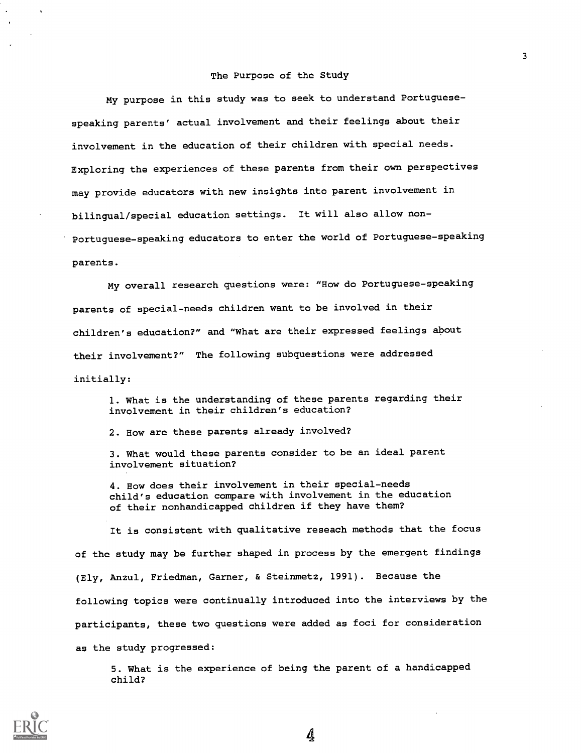### The Purpose of the Study

My purpose in this study was to seek to understand Portuguesespeaking parents' actual involvement and their feelings about their involvement in the education of their children with special needs. Exploring the experiences of these parents from their own perspectives may provide educators with new insights into parent involvement in bilingual/special education settings. It will also allow non-Portuguese-speaking educators to enter the world of Portuguese-speaking parents.

My overall research questions were: "How do Portuguese-speaking parents of special-needs children want to be involved in their children's education?" and "What are their expressed feelings about their involvement?" The following subquestions were addressed initially:

1. What is the understanding of these parents regarding their involvement in their children's education?

2. How are these parents already involved?

3. What would these parents consider to be an ideal parent involvement situation?

4. How does their involvement in their special-needs child's education compare with involvement in the education of their nonhandicapped children if they have them?

It is consistent with qualitative reseach methods that the focus of the study may be further shaped in process by the emergent findings (Ely, Anzul, Friedman, Garner, & Steinmetz, 1991). Because the following topics were continually introduced into the interviews by the participants, these two questions were added as foci for consideration as the study progressed:

5. What is the experience of being the parent of a handicapped child?



3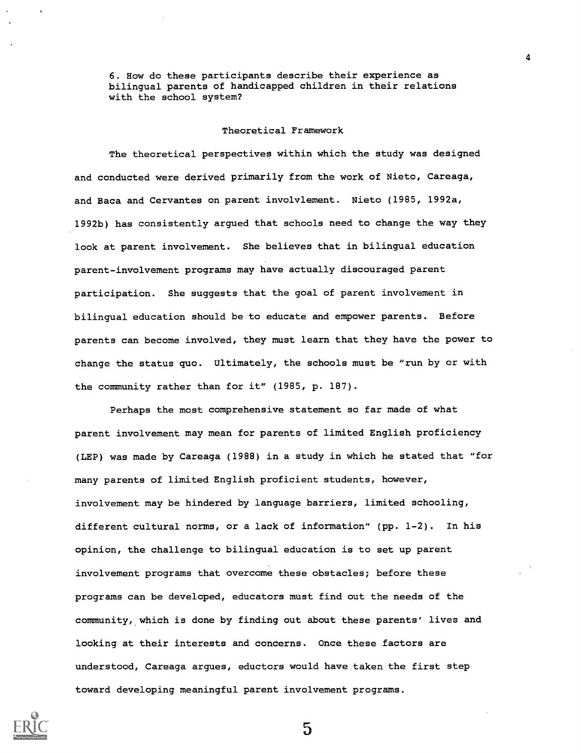6. How do these participants describe their experience as bilingual parents of handicapped children in their relations with the school system?

### Theoretical Framework

The theoretical perspectives within which the study was designed and conducted were derived primarily from the work of Nieto, Careaga, and Baca and Cervantes on parent involvlement. Nieto (1985, 1992a, 1992b) has consistently argued that schools need to change the way they look at parent involvement. She believes that in bilingual education parent-involvement programs may have actually discouraged parent participation. She suggests that the goal of parent involvement in bilingual education should be to educate and empower parents. Before parents can become involved, they must learn that they have the power to change the status quo. Ultimately, the schools must be "run by or with the community rather than for it" (1985, p. 187).

Perhaps the most comprehensive statement so far made of what parent involvement may mean for parents of limited English proficiency (LEP) was made by Careaga (1988) in a study in which he stated that "for many parents of limited English proficient students, however, involvement may be hindered by language barriers, limited schooling, different cultural norms, or a lack of information" (pp. 1-2). In his opinion, the challenge to bilingual education is to set up parent involvement programs that overcome these obstacles; before these programs can be developed, educators must find out the needs of the community, which is done by finding out about these parents' lives and looking at their interests and concerns. Once these factors are understood, Careaga argues, eductors would have taken the first step toward developing meaningful parent involvement programs.

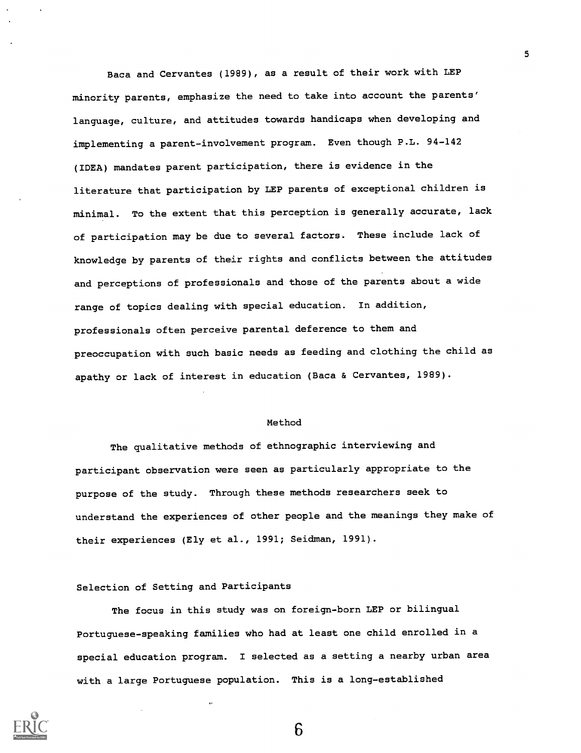Baca and Cervantes (1989), as a result of their work with LEP minority parents, emphasize the need to take into account the parents' language, culture, and attitudes towards handicaps when developing and implementing a parent-involvement program. Even though P.L. 94-142 (IDEA) mandates parent participation, there is evidence in the literature that participation by LEP parents of exceptional children is minimal. To the extent that this perception is generally accurate, lack of participation may be due to several factors. These include lack of knowledge by parents of their rights and conflicts between the attitudes and perceptions of professionals and those of the parents about a wide range of topics dealing with special education. In addition, professionals often perceive parental deference to them and preoccupation with such basic needs as feeding and clothing the child as apathy or lack of interest in education (Baca & Cervantes, 1989).

#### Method

The qualitative methods of ethnographic interviewing and participant observation were seen as particularly appropriate to the purpose of the study. Through these methods researchers seek to understand the experiences of other people and the meanings they make of their experiences (Ely et al., 1991; Seidman, 1991).

### Selection of Setting and Participants

 $\ddot{\phantom{0}}$ 

The focus in this study was on foreign-born LEP or bilingual Portuguese-speaking families who had at least one child enrolled in a special education program. I selected as a setting a nearby urban area with a large Portuguese population. This is a long-established



5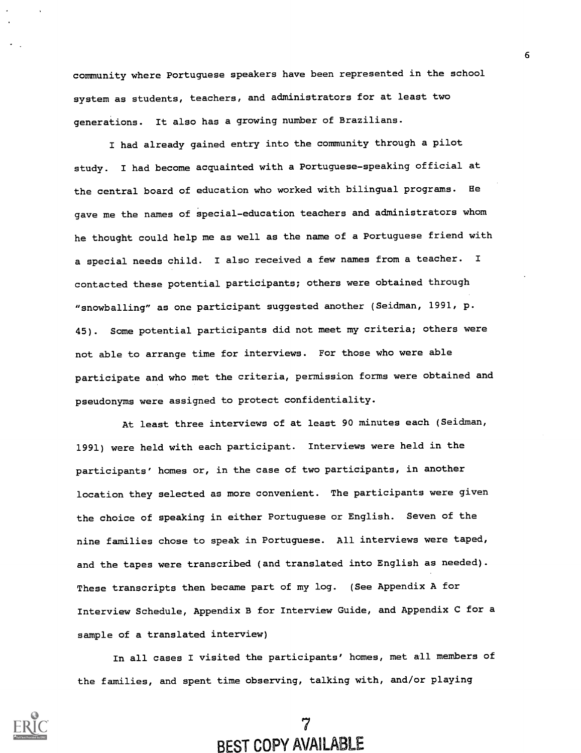community where Portuguese speakers have been represented in the school system as students, teachers, and administrators for at least two generations. It also has a growing number of Brazilians.

I had already gained entry into the community through a pilot study. I had become acquainted with a Portuguese-speaking official at the central board of education who worked with bilingual programs. He gave me the names of special-education teachers and administrators whom he thought could help me as well as the name of a Portuguese friend with a special needs child. I also received a few names from a teacher. contacted these potential participants; others were obtained through "snowballing" as one participant suggested another (Seidman, 1991, p. 45). Some potential participants did not meet my criteria; others were not able to arrange time for interviews. For those who were able participate and who met the criteria, permission forms were obtained and pseudonyms were assigned to protect confidentiality.

At least three interviews of at least 90 minutes each (Seidman, 1991) were held with each participant. Interviews were held in the participants' homes or, in the case of two participants, in another location they selected as more convenient. The participants were given the choice of speaking in either Portuguese or English. Seven of the nine families chose to speak in Portuguese. All interviews were taped, and the tapes were transcribed (and translated into English as needed). These transcripts then became part of my log. (See Appendix A for Interview Schedule, Appendix B for Interview Guide, and Appendix C for a sample of a translated interview)

In all cases I visited the participants' homes, met all members of the families, and spent time observing, talking with, and/or playing

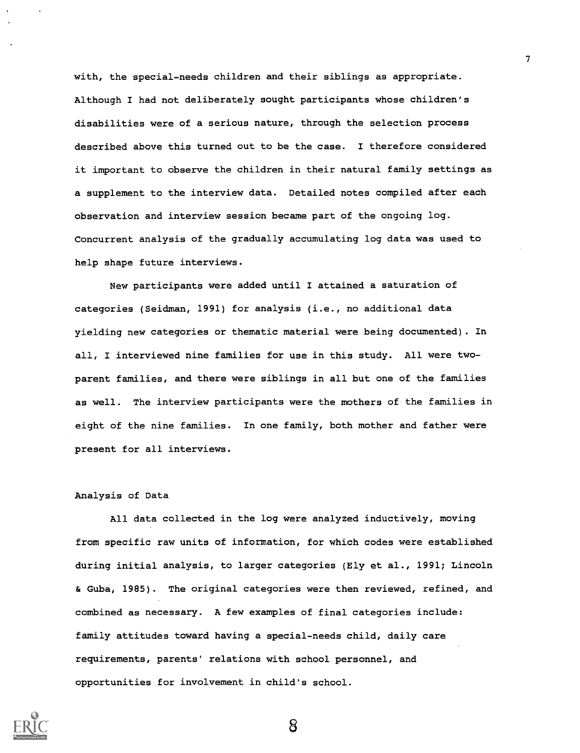with, the special-needs children and their siblings as appropriate. Although I had not deliberately sought participants whose children's disabilities were of a serious nature, through the selection process described above this turned out to be the case. I therefore considered it important to observe the children in their natural family settings as a supplement to the interview data. Detailed notes compiled after each observation and interview session became part of the ongoing log. Concurrent analysis of the gradually accumulating log data was used to help shape future interviews.

7

New participants were added until I attained a saturation of categories (Seidman, 1991) for analysis (i.e., no additional data yielding new categories or thematic material were being documented). In all, I interviewed nine families for use in this study. All were twoparent families, and there were siblings in all but one of the families as well. The interview participants were the mothers of the families in eight of the nine families. In one family, both mother and father were present for all interviews.

### Analysis of Data

All data collected in the log were analyzed inductively, moving from specific raw units of information, for which codes were established during initial analysis, to larger categories (Ely et al., 1991; Lincoln & Guba, 1985). The original categories were then reviewed, refined, and combined as necessary. A few examples of final categories include: famlly attitudes toward having a special-needs child, daily care requirements, parents' relations with school personnel, and opportunities for involvement in child's school.

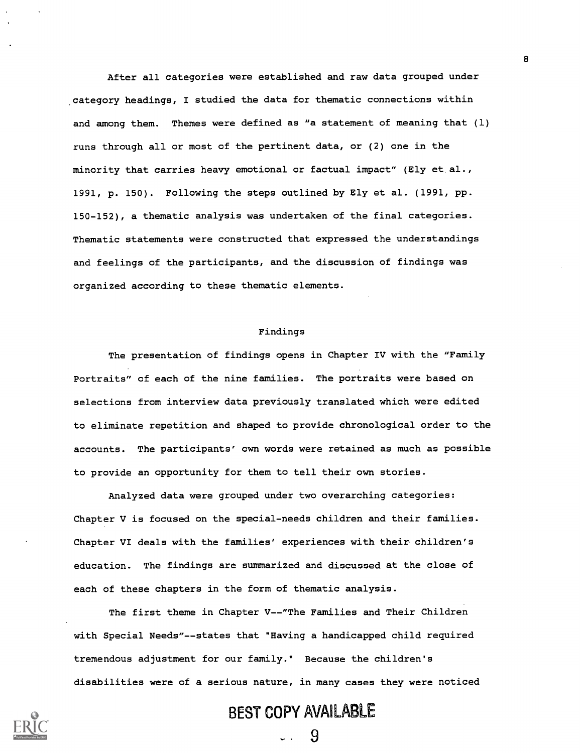After all categories were established and raw data grouped under category headings, I studied the data for thematic connections within and among them. Themes were defined as "a statement of meaning that (1) runs through all or most of the pertinent data, or (2) one in the minority that carries heavy emotional or factual impact" (Ely et al., 1991, p. 150). Following the steps outlined by Ely et al. (1991, pp. 150-152), a thematic analysis was undertaken of the final categories. Thematic statements were constructed that expressed the understandings and feelings of the participants, and the discussion of findings was organized according to these thematic elements.

### Findings

The presentation of findings opens in Chapter IV with the "Family Portraits" of each of the nine families. The portraits were based on selections from interview data previously translated which were edited to eliminate repetition and shaped to provide chronological order to the accounts. The participants' own words were retained as much as possible to provide an opportunity for them to tell their own stories.

Analyzed data were grouped under two overarching categories: Chapter V is focused on the special-needs children and their families. Chapter VI deals with the families' experiences with their children's education. The findings are summarized and discussed at the close of each of these chapters in the form of thematic analysis.

The first theme in Chapter V--"The Families and Their Children with Special Needs"--states that "Having a handicapped child required tremendous adjustment for our family." Because the children's disabilities were of a serious nature, in many cases they were noticed

# BEST COPY AVAILABLE

 $\boldsymbol{\Omega}$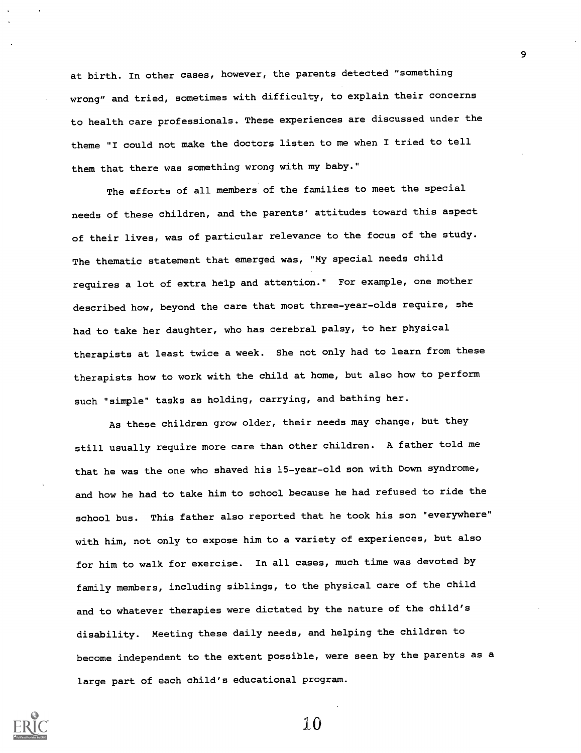at birth. In other cases, however, the parents detected "something wrong" and tried, sometimes with difficulty, to explain their concerns to health care professionals. These experiences are discussed under the theme "I could not make the doctors listen to me when I tried to tell them that there was something wrong with my baby."

The efforts of all members of the families to meet the special needs of these children, and the parents' attitudes toward this aspect of their lives, was of particular relevance to the focus of the study. The thematic statement that emerged was, "My special needs child requires a lot of extra help and attention." For example, one mother described how, beyond the care that most three-year-olds require, she had to take her daughter, who has cerebral palsy, to her physical therapists at least twice a week. She not only had to learn from these therapists how to work with the child at home, but also how to perform such "simple" tasks as holding, carrying, and bathing her.

As these children grow older, their needs may change, but they still usually require more care than other children. A father told me that he was the one who shaved his 15-year-old son with Down syndrome, and how he had to take him to school because he had refused to ride the school bus. This father also reported that he took his son "everywhere" with him, not only to expose him to a variety of experiences, but also for him to walk for exercise. In all cases, much time was devoted by family members, including siblings, to the physical care of the child and to whatever therapies were dictated by the nature of the child's disability. Meeting these daily needs, and helping the children to become independent to the extent possible, were seen by the parents as a large part of each child's educational program.



10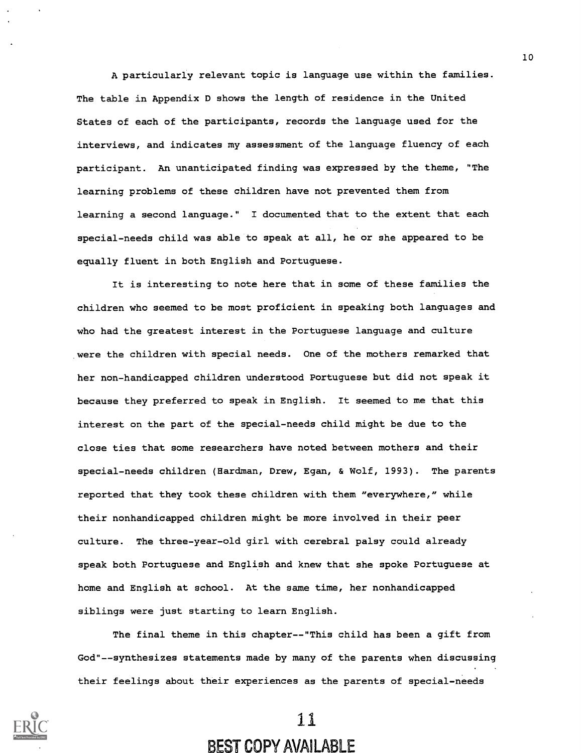A particularly relevant topic is language use within the families. The table in Appendix D shows the length of residence in the United States of each of the participants, records the language used for the interviews, and indicates my assessment of the language fluency of each participant. An unanticipated finding was expressed by the theme, "The learning problems of these children have not prevented them from learning a second language." I documented that to the extent that each special-needs child was able to speak at all, he or she appeared to be equally fluent in both English and Portuguese.

It is interesting to note here that in some of these families the children who seemed to be most proficient in speaking both languages and who had the greatest interest in the Portuguese language and culture were the children with special needs. One of the mothers remarked that her non-handicapped children understood Portuguese but did not speak it because they preferred to speak in English. It seemed to me that this interest on the part of the special-needs child might be due to the close ties that some researchers have noted between mothers and their special-needs children (Hardman, Drew, Egan, & Wolf, 1993). The parents reported that they took these children with them "everywhere," while their nonhandicapped children might be more involved in their peer culture. The three-year-old girl with cerebral palsy could already speak both Portuguese and English and knew that she spoke Portuguese at home and English at school. At the same time, her nonhandicapped siblings were just starting to learn English.

The final theme in this chapter--"This child has been a gift from God"--synthesizes statements made by many of the parents when discussing their feelings about their experiences as the parents of special-needs



11

# BEST COPY AVAILABLE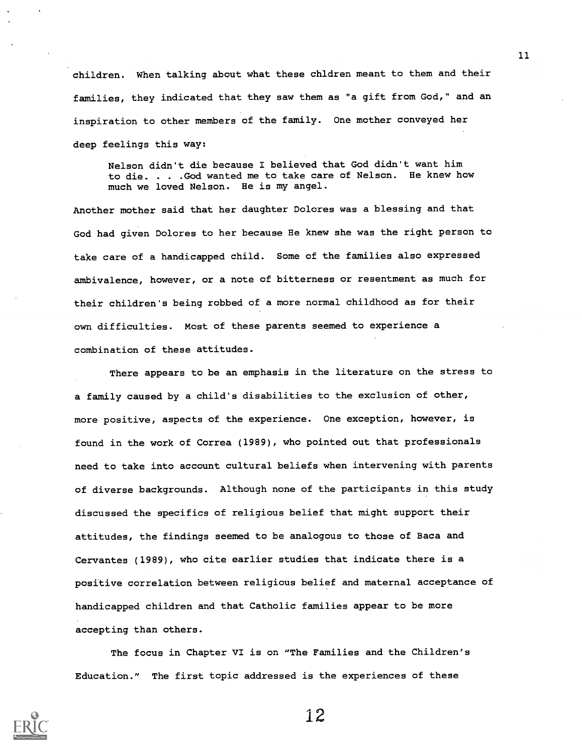children. When talking about what these chldren meant to them and their families, they indicated that they saw them as "a gift from God," and an inspiration to other members of the family. One mother conveyed her deep feelings this way:

Nelson didn't die because I believed that God didn't want him to die. . . .God wanted me to take care of Nelson. He knew how much we loved Nelson. He is my angel.

Another mother said that her daughter Dolores was a blessing and that God had given Dolores to her because He knew she was the right person to take care of a handicapped child. Some of the families also expressed ambivalence, however, or a note of bitterness or resentment as much for their children's being robbed of a more normal childhood as for their own difficulties. Most of these parents seemed to experience a combination of these attitudes.

There appears to be an emphasis in the literature on the stress to a family caused by a child's disabilities to the exclusion of other, more positive, aspects of the experience. One exception, however, is found in the work of Correa (1989), who pointed out that professionals need to take into account cultural beliefs when intervening with parents of diverse backgrounds. Although none of the participants in this study discussed the specifics of religious belief that might support their attitudes, the findings seemed to be analogous to those of Baca and Cervantes (1989), who cite earlier studies that indicate there is a positive correlation between religious belief and maternal acceptance of handicapped children and that Catholic families appear to be more accepting than others.

The focus in Chapter VI is on "The Families and the Children's Education." The first topic addressed is the experiences of these

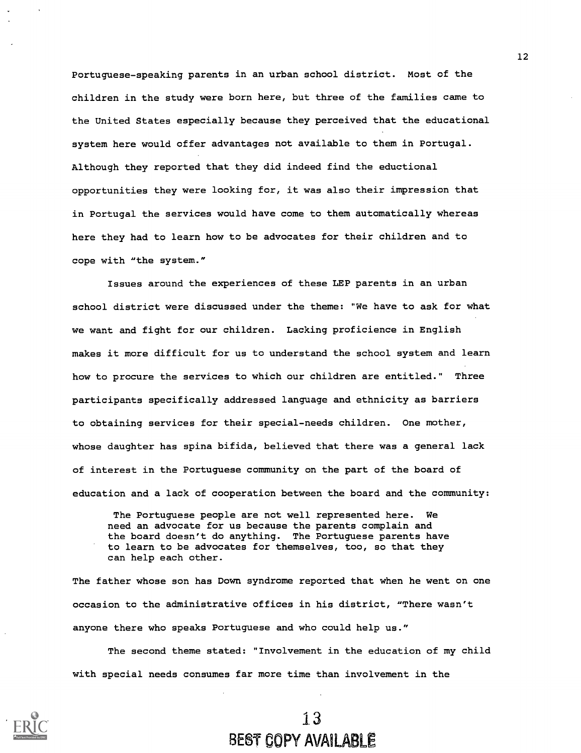Portuguese-speaking parents in an urban school district. Most of the children in the study were born here, but three of the families came to the United States especially because they perceived that the educational system here would offer advantages not available to them in Portugal. Although they reported that they did indeed find the eductional opportunities they were looking for, it was also their impression that in Portugal the services would have come to them automatically whereas here they had to learn how to be advocates for their children and to cope with "the system."

Issues around the experiences of these LEP parents in an urban school district were discussed under the theme: "We have to ask for what we want and fight for our children. Lacking proficience in English makes it more difficult for us to understand the school system and learn how to procure the services to which our children are entitled." Three participants specifically addressed language and ethnicity as barriers to obtaining services for their special-needs children. One mother, whose daughter has spina bifida, believed that there was a general lack of interest in the Portuguese community on the part of the board of education and a lack of cooperation between the board and the community:

The Portuguese people are not well represented here. We need an advocate for us because the parents complain and the board doesn't do anything. The Portuguese parents have to learn to be advocates for themselves, too, so that they can help each other.

The father whose son has Down syndrome reported that when he went on one occasion to the administrative offices in his district, "There wasn't anyone there who speaks Portuguese and who could help us."

The second theme stated: "Involvement in the education of my child with special needs consumes far more time than involvement in the

# 1 3 BEST COPY AVAILABLE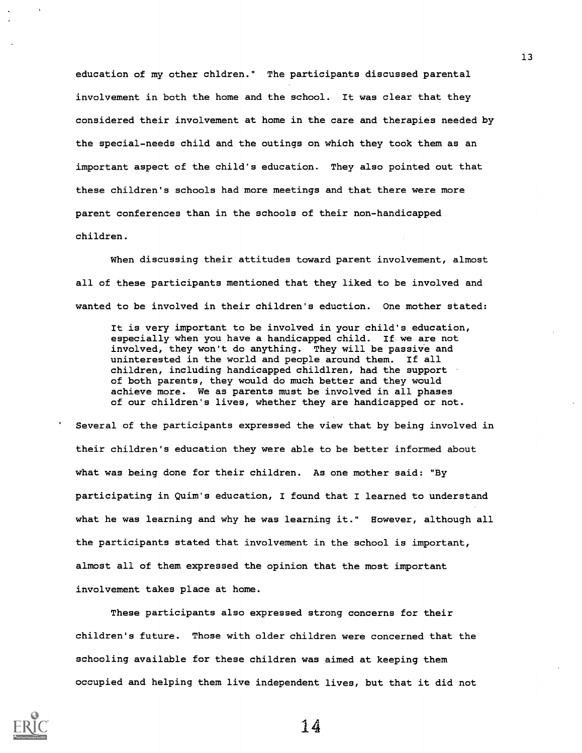education of my other chldren." The participants discussed parental involvement in both the home and the school. It was clear that they considered their involvement at home in the care and therapies needed by the special-needs child and the outings on which they took them as an important aspect of the child's education. They also pointed out that these children's schools had more meetings and that there were more parent conferences than in the schools of their non-handicapped children.

When discussing their attitudes toward parent involvement, almost all of these participants mentioned that they liked to be involved and wanted to be involved in their children's eduction. One mother stated:

It is very important to be involved in your child's education, especially when you have a handicapped child. If we are not involved, they won't do anything. They will be passive and uninterested in the world and people around them. If all children, including handicapped childlren, had the support of both parents, they would do much better and they would achieve more. We as parents must be involved in all phases of our children's lives, whether they are handicapped or not.

 Several of the participants expressed the view that by being involved in their children's education they were able to be better informed about what was being done for their children. As one mother said: "By participating in Quim's education, I found that I learned to understand what he was learning and why he was learning it." However, although all the participants stated that involvement in the school is important, almost all of them expressed the opinion that the most important involvement takes place at home.

These participants also expressed strong concerns for their children's future. Those with older children were concerned that the schooling available for these children was aimed at keeping them occupied and helping them live independent lives, but that it did not



14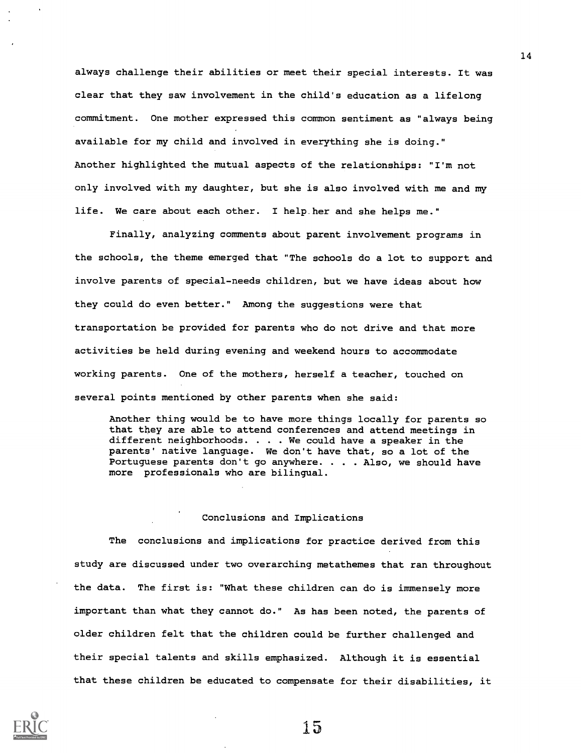always challenge their abilities or meet their special interests. It was clear that they saw involvement in the child's education as a lifelong commitment. One mother expressed this common sentiment as "always being available for my child and involved in everything she is doing." Another highlighted the mutual aspects of the relationships: "I'm not only involved with my daughter, but she is also involved with me and my life. We care about each other. I help.her and she helps me."

Finally, analyzing comments about parent involvement programs in the schools, the theme emerged that "The schools do a lot to support and involve parents of special-needs children, but we have ideas about how they could do even better." Among the suggestions were that transportation be provided for parents who do not drive and that more activities be held during evening and weekend hours to accommodate working parents. One of the mothers, herself a teacher, touched on several points mentioned by other parents when she said:

Another thing would be to have more things locally for parents so that they are able to attend conferences and attend meetings in different neighborhoods. . . . We could have a speaker in the parents' native language. We don't have that, so a lot of the Portuguese parents don't go anywhere. . . . Also, we should have more professionals who are bilingual.

### Conclusions and Implications

The conclusions and implications for practice derived from this study are discussed under two overarching metathemes that ran throughout the data. The first is: "What these children can do is immensely more important than what they cannot do." As has been noted, the parents of older children felt that the children could be further challenged and their special talents and skills emphasized. Although it is essential that these children be educated to compensate for their disabilities, it



15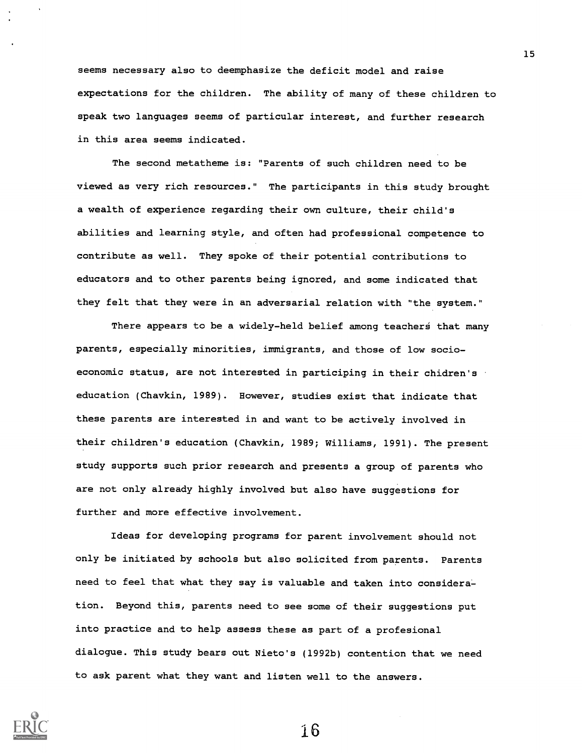seems necessary also to deemphasize the deficit model and raise expectations for the children. The ability of many of these children to speak two languages seems of particular interest, and further research in this area seems indicated.

The second metatheme is: "Parents of such children need to be viewed as very rich resources." The participants in this study brought a wealth of experience regarding their own culture, their child's abilities and learning style, and often had professional competence to contribute as well. They spoke of their potential contributions to educators and to other parents being ignored, and some indicated that they felt that they were in an adversarial relation with "the system."

There appears to be a widely-held belief among teachers that many parents, especially minorities, immigrants, and those of low socioeconomic status, are not interested in participing in their chidren's education (Chavkin, 1989). However, studies exist that indicate that these parents are interested in and want to be actively involved in their children's education (Chavkin, 1989; Williams, 1991). The present study supports such prior research and presents a group of parents who are not only already highly involved but also have suggestions for further and more effective involvement.

Ideas for developing programs for parent involvement should not only be initiated by schools but also solicited from parents. Parents need to feel that what they say is valuable and taken into consideration. Beyond this, parents need to see some of their suggestions put into practice and to help assess these as part of a profesional dialogue. This study bears out Nieto's (1992b) contention that we need to ask parent what they want and listen well to the answers.



16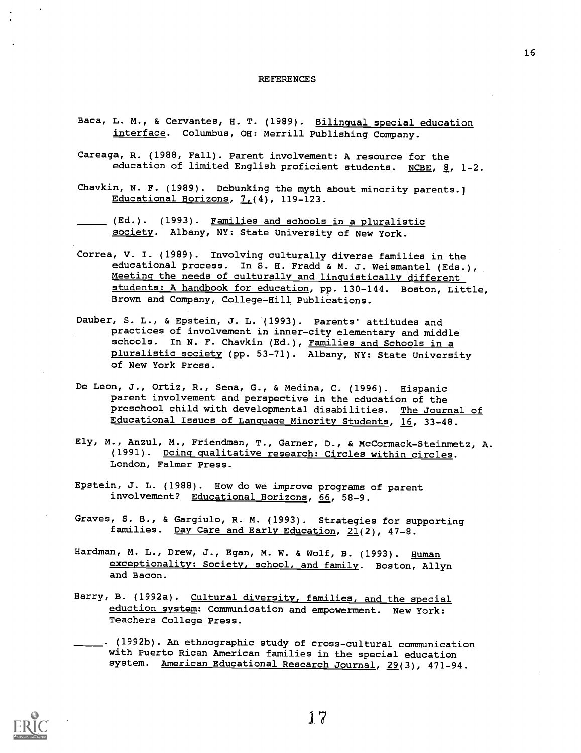#### REFERENCES

- Baca, L. M., & Cervantes, H. T. (1989). Bilingual special education interface. Columbus, OH: Merrill Publishing Company.
- Careaga, R. (1988, Fall). Parent involvement: A resource for the education of limited English proficient students. NCBE,  $g$ , 1-2.
- Chavkin, N. F. (1989). Debunking the myth about minority parents.] Educational Horizons,  $7(4)$ , 119-123.
- (Ed.). (1993). <u>Families and schools in a pluralistic</u> society. Albany, NY: State University of New York.
- Correa, V. I. (1989). Involving culturally diverse families in the educational process. In S. H. Fradd & M. J. Weismantel (Eds.), Meeting the needs of culturally and linguistically different students: A handbook for education, pp. 130-144. Boston, Little, Brown and Company, College-Hill Publications.
- Dauber, S. L., & Epstein, J. L. (1993). Parents' attitudes and practices of involvement in inner-city elementary and middle schools. In N. F. Chavkin (Ed.), Families and Schools in a pluralistic society (pp. 53-71). Albany, NY: State University of New York Press.
- De Leon, J., Ortiz, R., Sena, G., & Medina, C. (1996). Hispanic parent involvement and perspective in the education of the preschool child with developmental disabilities. The Journal of Educational Issues of Language Minority Students, 16, 33-48.
- Ely, M., Anzul, M., Friendman, T., Garner, D., & McCormack-Steinmetz, A. (1991). Doing qualitative research: Circles within circles. London, Falmer Press.
- Epstein, J. L. (1988). How do we improve programs of parent involvement? Educational Horizons, 66, 58-9.
- Graves, S. B., & Gargiulo, R. M. (1993). Strategies for supporting families. Day Care and Early Education, 21(2), 47-8.
- Hardman, M. L., Drew, J., Egan, M. W. & Wolf, B. (1993). Human exceptionality: Society, school, and family. Boston, Allyn and Bacon.
- Harry, B. (1992a). Cultural diversity, families, and the special eduction system: Communication and empowerment. New York: Teachers College Press.
- . (1992b). An ethnographic study of cross-cultural communication with Puerto Rican American families in the special education system. American Educational Research Journal, 29(3), 471-94.



17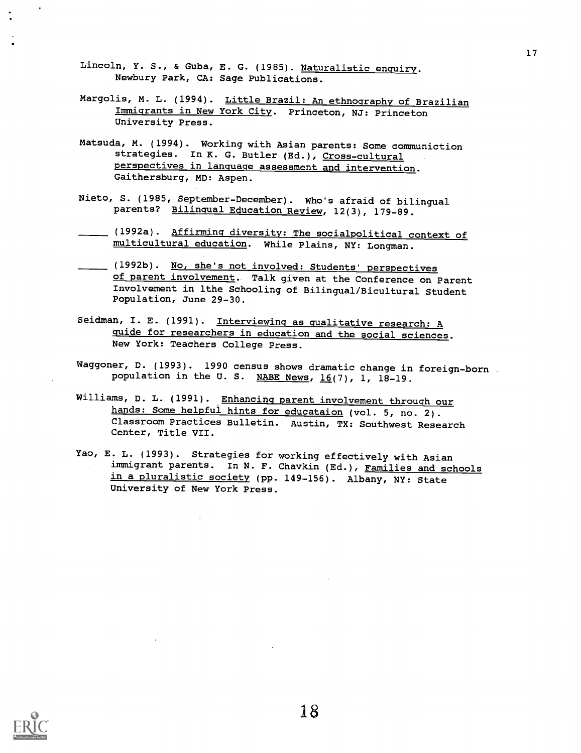- Lincoln, Y. S., & Guba, E. G. (1985). Naturalistic enquiry. Newbury Park, CA: Sage Publications.
- Margolis, M. L. (1994). Little Brazil: An ethnography of Brazilian Immigrants in New York City. Princeton, NJ: Princeton University Press.
- Matsuda, M. (1994). Working with Asian parents: Some communiction strategies. In K. G. Butler (Ed.), Cross-cultural perspectives in language assessment and intervention. Gaithersburg, MD: Aspen.
- Nieto, S. (1985, September-December). Who's afraid of bilingual parents? Bilingual Education Review, 12(3), 179-89.
- (1992a). Affirming diversity: The socialpolitical context of multicultural education. While Plains, NY: Longman.
- (1992b). No, she's not involved: Students' perspectives of parent involvement. Talk given at the Conference on Parent Involvement in lthe Schooling of Bilingual/Bicultural Student Population, June 29-30.
- Seidman, I. E. (1991). Interviewing as qualitative research: A guide for researchers in education and the social sciences. New York: Teachers College Press.
- Waggoner, D. (1993). 1990 census shows dramatic change in foreign-born population in the U. S. NABE News,  $16(7)$ , 1, 18-19.
- Williams, D. L. (1991). Enhancing parent involvement through our hands: Some helpful hints for educataion (vol. 5, no. 2). Classroom Practices Bulletin. Austin, TX: Southwest Research Center, Title VII.
- Yao, E. L. (1993). Strategies for working effectively with Asian immigrant parents. In N. F. Chavkin (Ed.), Families and schools in a pluralistic society (pp. 149-156). Albany, NY: State University of New York Press.

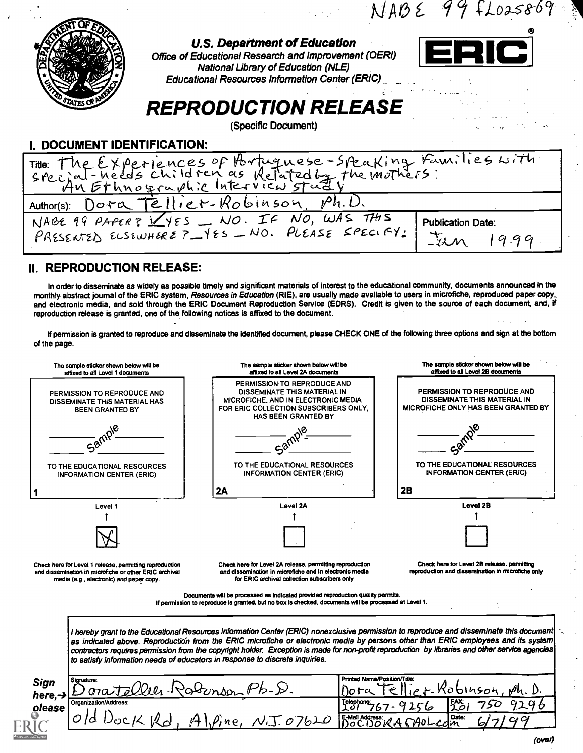$NABC$  99 FLO25869



### U.S. Department of Education

Office of Educational Research and Improvement (OERI) National Library of Education (NLE) Educational Resources Information Center (ERIC).\_



# REPRODUCTION RELEASE

(Specific Document)

I. DOCUMENT IDENTIFICATION:

| 1. DUUUNEN I IPENTII IVATIVIN                                                                                                                    |  |
|--------------------------------------------------------------------------------------------------------------------------------------------------|--|
| Title: The Experiences of Portuguese-Speaking Families with.                                                                                     |  |
| Author(s): Dora Tellier-Robinson, Ph.D.                                                                                                          |  |
| NABE 99 PAPER? VYES _ NO. IF NO, WAS THIS<br><b>Publication Date:</b><br>PRESENTED ELSEWHERE ? - YES - NO. PLEASE SPECIFY:<br>$\Sigma_m$<br>1999 |  |

### II. REPRODUCTION RELEASE:

In order to disseminate as widely as possible timely and significant materials of interest to the educational community, documents announced in the monthly abstract journal of the ERIC system, *Resources in Education* (RIE), are usually mad*e* available to users in microfiche, reproduced paper copy, and electronic media, and sold through the ERIC Document Reproduction Service (EDRS). Credit is given to the source of each document, and, if reproduction release is granted, one of the following notices is affixed to the document.

If permission is granted to reproduce and disseminate the identified document, please CHECK ONE of the following three options and sign at the bottom of the page.

| The sample sticker shown below will be<br>affixed to all Level 1 documents                                                                                    | The sample sticker shown below will be<br>affixed to all Level 2A documents                                                                                                                                                                                                                                                                                                                                                                                                                                       | The sample sticker shown below will be<br>affixed to all Level 2B documents                               |  |  |
|---------------------------------------------------------------------------------------------------------------------------------------------------------------|-------------------------------------------------------------------------------------------------------------------------------------------------------------------------------------------------------------------------------------------------------------------------------------------------------------------------------------------------------------------------------------------------------------------------------------------------------------------------------------------------------------------|-----------------------------------------------------------------------------------------------------------|--|--|
| PERMISSION TO REPRODUCE AND<br><b>DISSEMINATE THIS MATERIAL HAS</b><br><b>BEEN GRANTED BY</b>                                                                 | PERMISSION TO REPRODUCE AND<br>DISSEMINATE THIS MATERIAL IN<br>MICROFICHE, AND IN ELECTRONIC MEDIA<br>FOR ERIC COLLECTION SUBSCRIBERS ONLY.<br>HAS BEEN GRANTED BY                                                                                                                                                                                                                                                                                                                                                | PERMISSION TO REPRODUCE AND<br>DISSEMINATE THIS MATERIAL IN<br><b>MICROFICHE ONLY HAS BEEN GRANTED BY</b> |  |  |
| $a^{\delta}$                                                                                                                                                  |                                                                                                                                                                                                                                                                                                                                                                                                                                                                                                                   |                                                                                                           |  |  |
| TO THE EDUCATIONAL RESOURCES<br><b>INFORMATION CENTER (ERIC)</b>                                                                                              | TO THE EDUCATIONAL RESOURCES<br><b>INFORMATION CENTER (ERIC)</b>                                                                                                                                                                                                                                                                                                                                                                                                                                                  | TO THE EDUCATIONAL RESOURCES<br><b>INFORMATION CENTER (ERIC)</b>                                          |  |  |
|                                                                                                                                                               | 2A                                                                                                                                                                                                                                                                                                                                                                                                                                                                                                                | 2B                                                                                                        |  |  |
| Level 1                                                                                                                                                       | Level 2A                                                                                                                                                                                                                                                                                                                                                                                                                                                                                                          | Level 2B                                                                                                  |  |  |
|                                                                                                                                                               |                                                                                                                                                                                                                                                                                                                                                                                                                                                                                                                   |                                                                                                           |  |  |
|                                                                                                                                                               |                                                                                                                                                                                                                                                                                                                                                                                                                                                                                                                   |                                                                                                           |  |  |
| Check here for Level 1 release, permitting reproduction<br>and dissemination in microfiche or other ERIC archival<br>media (e.g., electronic) and paper copy. | Check here for Level 2A release, permitting reproduction<br>and dissemination in microfiche and in electronic media<br>for ERIC archival collection subscribers only                                                                                                                                                                                                                                                                                                                                              | Check here for Level 2B release, permitting<br>reproduction and dissemination in microfiche only          |  |  |
|                                                                                                                                                               | Documents will be processed as indicated provided reproduction quality permits.<br>If permission to reproduce is granted, but no box is checked, documents will be processed at Level 1.                                                                                                                                                                                                                                                                                                                          |                                                                                                           |  |  |
|                                                                                                                                                               | I hereby grant to the Educational Resources Information Center (ERIC) nonexclusive permission to reproduce and disseminate this document<br>as indicated above. Reproduction from the ERIC microfiche or electronic media by persons other than ERIC employees and its system<br>contractors requires permission from the copyright holder. Exception is made for non-profit reproduction by libraries and other service agencies<br>to satisfy information needs of educators in response to discrete inquiries. |                                                                                                           |  |  |
| Signature:<br>Sign<br>here, $\rightarrow$                                                                                                                     | Printed Name/Position/Title:<br>sinson                                                                                                                                                                                                                                                                                                                                                                                                                                                                            | binson                                                                                                    |  |  |
| Organization/Address:                                                                                                                                         | Telephone;<br>101                                                                                                                                                                                                                                                                                                                                                                                                                                                                                                 | FAX:<br>10<br>296                                                                                         |  |  |
| please<br>Kď                                                                                                                                                  | $\rho$ ,ne, $N_{1}T_{2}O7b2O$                                                                                                                                                                                                                                                                                                                                                                                                                                                                                     | Date:<br>E-Mail Address:<br>DOCDORA 6790L                                                                 |  |  |

(over)